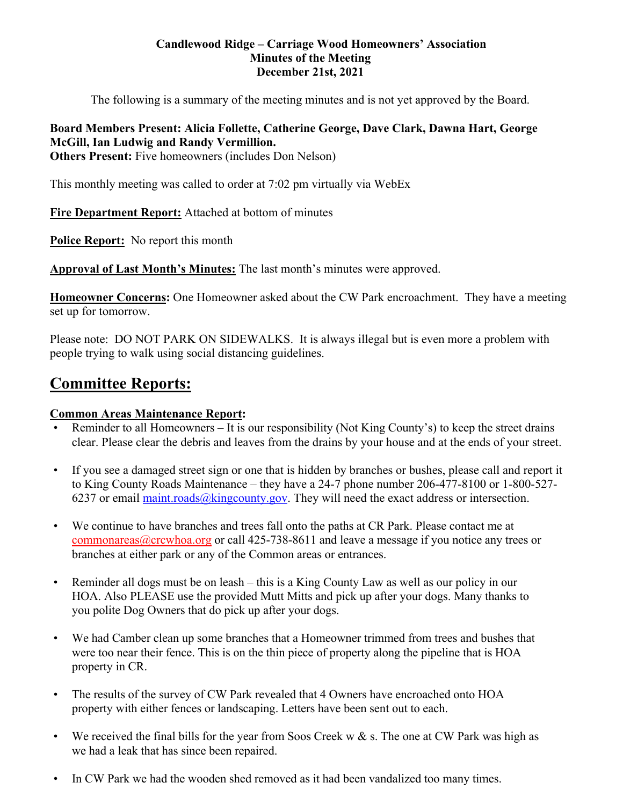#### **Candlewood Ridge – Carriage Wood Homeowners' Association Minutes of the Meeting December 21st, 2021**

The following is a summary of the meeting minutes and is not yet approved by the Board.

# **Board Members Present: Alicia Follette, Catherine George, Dave Clark, Dawna Hart, George McGill, Ian Ludwig and Randy Vermillion.**

**Others Present:** Five homeowners (includes Don Nelson)

This monthly meeting was called to order at 7:02 pm virtually via WebEx

**Fire Department Report:** Attached at bottom of minutes

**Police Report:** No report this month

**Approval of Last Month's Minutes:** The last month's minutes were approved.

**Homeowner Concerns:** One Homeowner asked about the CW Park encroachment. They have a meeting set up for tomorrow.

Please note: DO NOT PARK ON SIDEWALKS. It is always illegal but is even more a problem with people trying to walk using social distancing guidelines.

# **Committee Reports:**

#### **Common Areas Maintenance Report:**

- Reminder to all Homeowners It is our responsibility (Not King County's) to keep the street drains clear. Please clear the debris and leaves from the drains by your house and at the ends of your street.
- If you see a damaged street sign or one that is hidden by branches or bushes, please call and report it to King County Roads Maintenance – they have a 24-7 phone number 206-477-8100 or 1-800-527- 6237 or email maint.roads@kingcounty.gov. They will need the exact address or intersection.
- We continue to have branches and trees fall onto the paths at CR Park. Please contact me at commonareas@crcwhoa.org or call 425-738-8611 and leave a message if you notice any trees or branches at either park or any of the Common areas or entrances.
- Reminder all dogs must be on leash this is a King County Law as well as our policy in our HOA. Also PLEASE use the provided Mutt Mitts and pick up after your dogs. Many thanks to you polite Dog Owners that do pick up after your dogs.
- We had Camber clean up some branches that a Homeowner trimmed from trees and bushes that were too near their fence. This is on the thin piece of property along the pipeline that is HOA property in CR.
- The results of the survey of CW Park revealed that 4 Owners have encroached onto HOA property with either fences or landscaping. Letters have been sent out to each.
- We received the final bills for the year from Soos Creek w  $&$  s. The one at CW Park was high as we had a leak that has since been repaired.
- In CW Park we had the wooden shed removed as it had been vandalized too many times.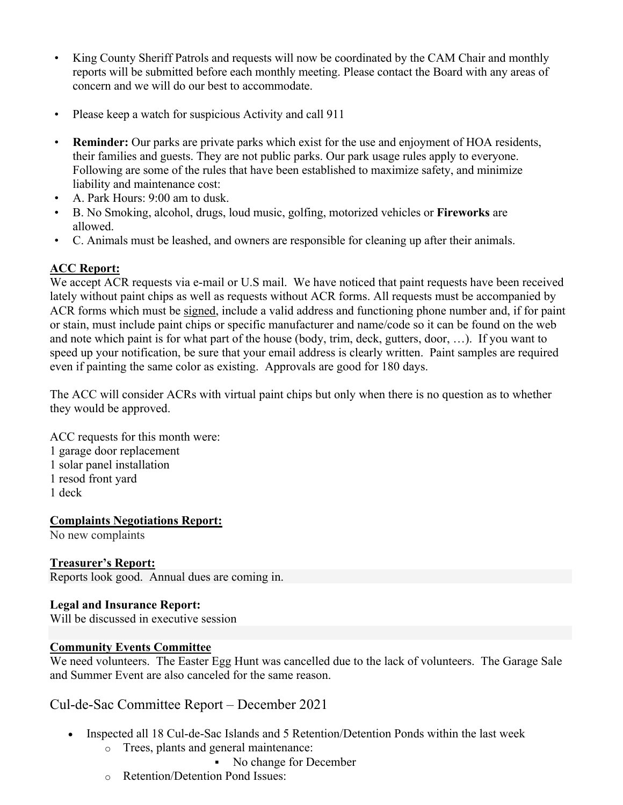- King County Sheriff Patrols and requests will now be coordinated by the CAM Chair and monthly reports will be submitted before each monthly meeting. Please contact the Board with any areas of concern and we will do our best to accommodate.
- Please keep a watch for suspicious Activity and call 911
- **Reminder:** Our parks are private parks which exist for the use and enjoyment of HOA residents, their families and guests. They are not public parks. Our park usage rules apply to everyone. Following are some of the rules that have been established to maximize safety, and minimize liability and maintenance cost:
- A. Park Hours: 9:00 am to dusk.
- B. No Smoking, alcohol, drugs, loud music, golfing, motorized vehicles or **Fireworks** are allowed.
- C. Animals must be leashed, and owners are responsible for cleaning up after their animals.

## **ACC Report:**

We accept ACR requests via e-mail or U.S mail. We have noticed that paint requests have been received lately without paint chips as well as requests without ACR forms. All requests must be accompanied by ACR forms which must be signed, include a valid address and functioning phone number and, if for paint or stain, must include paint chips or specific manufacturer and name/code so it can be found on the web and note which paint is for what part of the house (body, trim, deck, gutters, door, …). If you want to speed up your notification, be sure that your email address is clearly written. Paint samples are required even if painting the same color as existing. Approvals are good for 180 days.

The ACC will consider ACRs with virtual paint chips but only when there is no question as to whether they would be approved.

ACC requests for this month were: 1 garage door replacement 1 solar panel installation 1 resod front yard 1 deck

#### **Complaints Negotiations Report:**

No new complaints

#### **Treasurer's Report:**

Reports look good. Annual dues are coming in.

#### **Legal and Insurance Report:**

Will be discussed in executive session

#### **Community Events Committee**

We need volunteers. The Easter Egg Hunt was cancelled due to the lack of volunteers. The Garage Sale and Summer Event are also canceled for the same reason.

## Cul-de-Sac Committee Report – December 2021

- Inspected all 18 Cul-de-Sac Islands and 5 Retention/Detention Ponds within the last week
	- o Trees, plants and general maintenance:
		- No change for December
	- o Retention/Detention Pond Issues: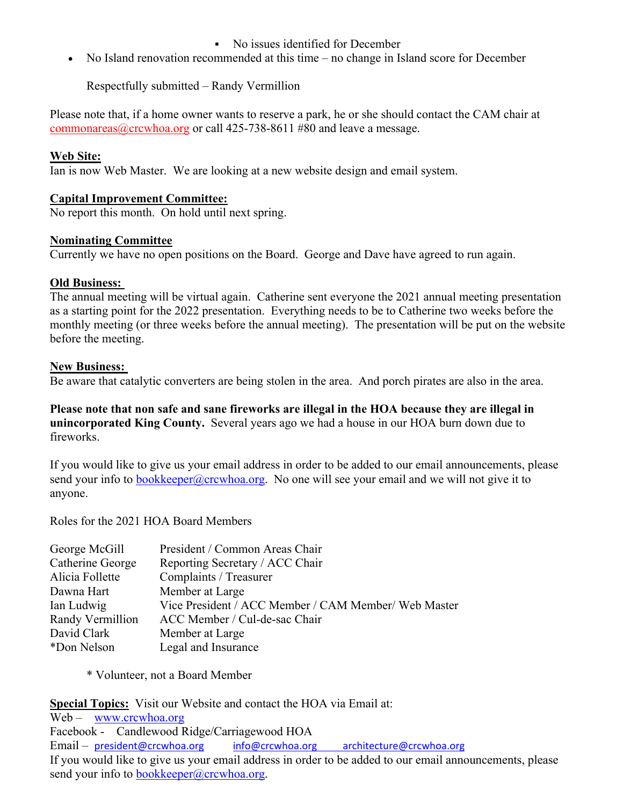## No issues identified for December

• No Island renovation recommended at this time – no change in Island score for December

Respectfully submitted – Randy Vermillion

Please note that, if a home owner wants to reserve a park, he or she should contact the CAM chair at commonareas@crcwhoa.org or call 425-738-8611 #80 and leave a message.

#### **Web Site:**

Ian is now Web Master. We are looking at a new website design and email system.

## **Capital Improvement Committee:**

No report this month. On hold until next spring.

#### **Nominating Committee**

Currently we have no open positions on the Board. George and Dave have agreed to run again.

## **Old Business:**

The annual meeting will be virtual again. Catherine sent everyone the 2021 annual meeting presentation as a starting point for the 2022 presentation. Everything needs to be to Catherine two weeks before the monthly meeting (or three weeks before the annual meeting). The presentation will be put on the website before the meeting.

## **New Business:**

Be aware that catalytic converters are being stolen in the area. And porch pirates are also in the area.

**Please note that non safe and sane fireworks are illegal in the HOA because they are illegal in unincorporated King County.** Several years ago we had a house in our HOA burn down due to fireworks.

If you would like to give us your email address in order to be added to our email announcements, please send your info to bookkeeper@crcwhoa.org. No one will see your email and we will not give it to anyone.

Roles for the 2021 HOA Board Members

| President / Common Areas Chair                       |
|------------------------------------------------------|
| Reporting Secretary / ACC Chair                      |
| Complaints / Treasurer                               |
| Member at Large                                      |
| Vice President / ACC Member / CAM Member/ Web Master |
| ACC Member / Cul-de-sac Chair                        |
| Member at Large                                      |
| Legal and Insurance                                  |
|                                                      |

\* Volunteer, not a Board Member

**Special Topics:** Visit our Website and contact the HOA via Email at:

Web – www.crcwhoa.org Facebook - Candlewood Ridge/Carriagewood HOA Email – president@crcwhoa.org info@crcwhoa.org architecture@crcwhoa.org If you would like to give us your email address in order to be added to our email announcements, please send your info to bookkeeper@crcwhoa.org.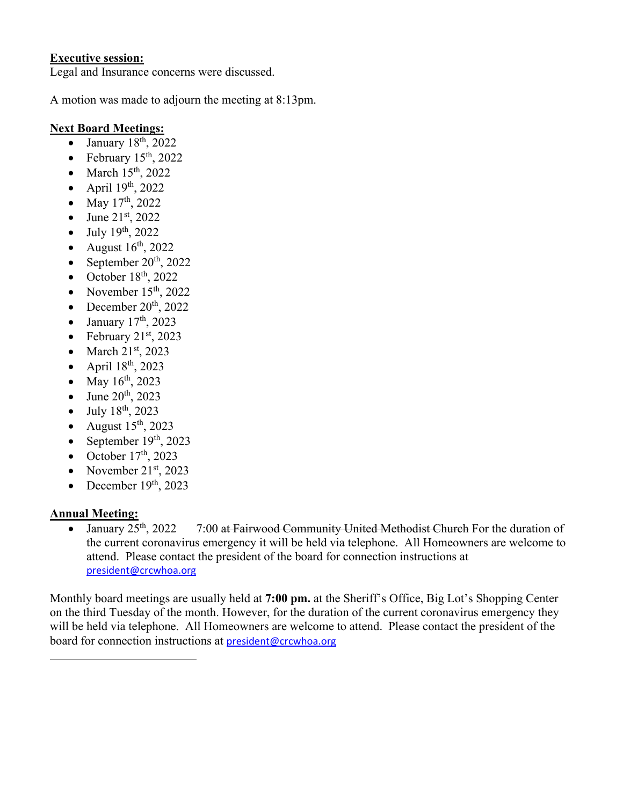#### **Executive session:**

Legal and Insurance concerns were discussed.

A motion was made to adjourn the meeting at 8:13pm.

#### **Next Board Meetings:**

- $\bullet$  January 18<sup>th</sup>, 2022
- February  $15<sup>th</sup>$ , 2022
- $\bullet$  March  $15<sup>th</sup>$ , 2022
- April  $19<sup>th</sup>$ , 2022
- May  $17^{th}$ , 2022
- June  $21^{st}$ , 2022
- $\bullet$  July 19<sup>th</sup>, 2022
- August  $16<sup>th</sup>$ , 2022
- September  $20<sup>th</sup>$ , 2022
- $\bullet$  October 18<sup>th</sup>, 2022
- November  $15<sup>th</sup>$ , 2022
- December  $20^{th}$ ,  $2022$
- $\bullet$  January 17<sup>th</sup>, 2023
- February  $21<sup>st</sup>$ , 2023
- $\bullet$  March 21st, 2023
- April  $18^{th}$ , 2023
- May  $16^{th}$ , 2023
- June 20<sup>th</sup>, 2023
- $-$  July 18<sup>th</sup>, 2023
- August  $15<sup>th</sup>$ , 2023
- September  $19<sup>th</sup>$ , 2023
- October  $17<sup>th</sup>$ , 2023
- November  $21<sup>st</sup>$ , 2023
- December  $19<sup>th</sup>$ , 2023

#### **Annual Meeting:**

• January  $25<sup>th</sup>$ ,  $2022$  7:00 at Fairwood Community United Methodist Church For the duration of the current coronavirus emergency it will be held via telephone. All Homeowners are welcome to attend. Please contact the president of the board for connection instructions at president@crcwhoa.org

Monthly board meetings are usually held at **7:00 pm.** at the Sheriff's Office, Big Lot's Shopping Center on the third Tuesday of the month. However, for the duration of the current coronavirus emergency they will be held via telephone. All Homeowners are welcome to attend. Please contact the president of the board for connection instructions at president@crcwhoa.org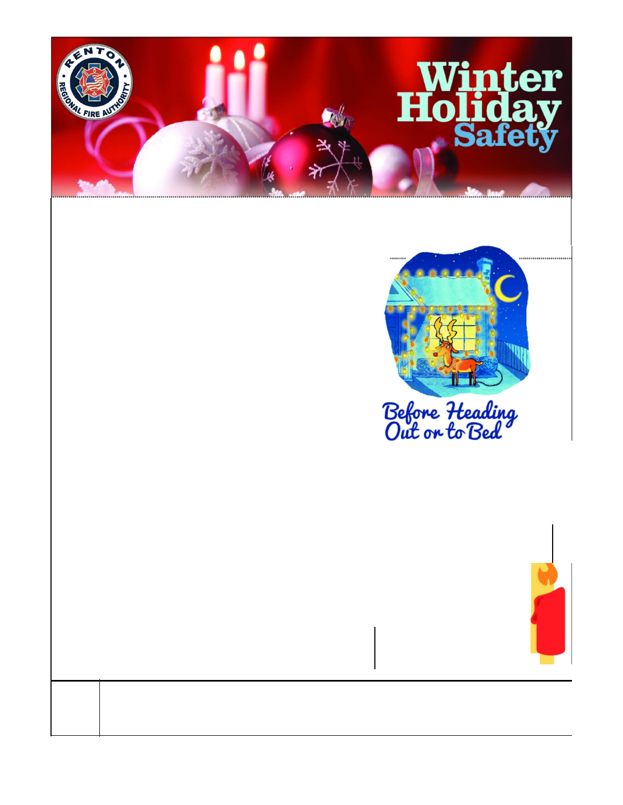